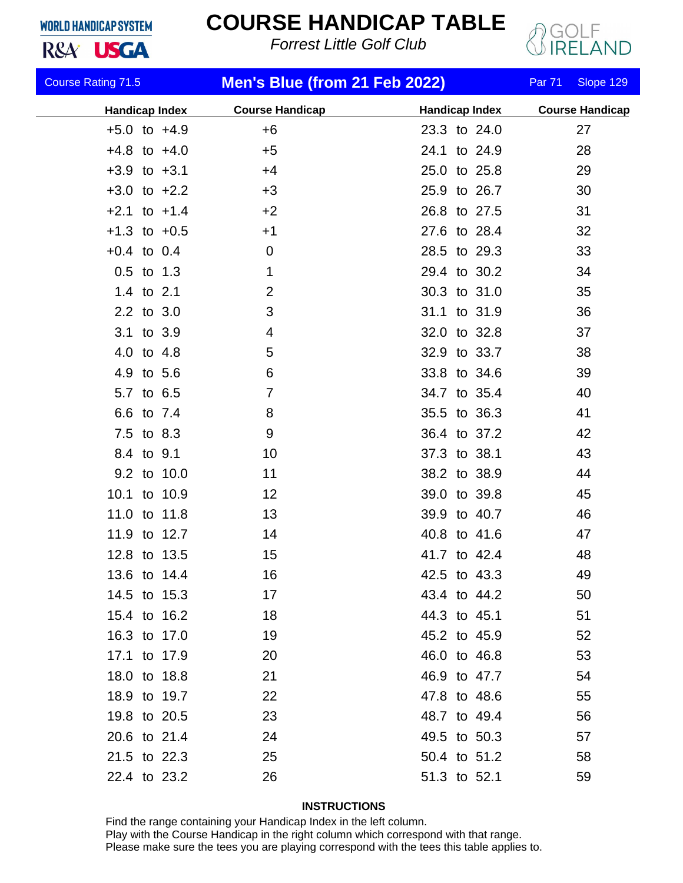## **WORLD HANDICAP SYSTEM**

R&A<sup>'</sup> USGA

## **COURSE HANDICAP TABLE**

*Forrest Little Golf Club*



| <b>Course Rating 71.5</b> |  |             | Men's Blue (from 21 Feb 2022) |                       |  | <b>Par 71</b> | Slope 129              |
|---------------------------|--|-------------|-------------------------------|-----------------------|--|---------------|------------------------|
| <b>Handicap Index</b>     |  |             | <b>Course Handicap</b>        | <b>Handicap Index</b> |  |               | <b>Course Handicap</b> |
| $+5.0$ to $+4.9$          |  |             | $+6$                          | 23.3 to 24.0          |  |               | 27                     |
| $+4.8$ to $+4.0$          |  |             | $+5$                          | 24.1 to 24.9          |  |               | 28                     |
| $+3.9$ to $+3.1$          |  |             | $+4$                          | 25.0 to 25.8          |  |               | 29                     |
| $+3.0$ to $+2.2$          |  |             | $+3$                          | 25.9 to 26.7          |  |               | 30                     |
| $+2.1$ to $+1.4$          |  |             | $+2$                          | 26.8 to 27.5          |  |               | 31                     |
| $+1.3$ to $+0.5$          |  |             | $+1$                          | 27.6 to 28.4          |  |               | 32                     |
| $+0.4$ to 0.4             |  |             | $\mathbf 0$                   | 28.5 to 29.3          |  |               | 33                     |
| $0.5$ to 1.3              |  |             | $\mathbf{1}$                  | 29.4 to 30.2          |  |               | 34                     |
| 1.4 to 2.1                |  |             | 2                             | 30.3 to 31.0          |  |               | 35                     |
| 2.2 to 3.0                |  |             | 3                             | 31.1 to 31.9          |  |               | 36                     |
| 3.1 to 3.9                |  |             | 4                             | 32.0 to 32.8          |  |               | 37                     |
| 4.0 to 4.8                |  |             | 5                             | 32.9 to 33.7          |  |               | 38                     |
| 4.9 to 5.6                |  |             | 6                             | 33.8 to 34.6          |  |               | 39                     |
| 5.7 to 6.5                |  |             | $\overline{7}$                | 34.7 to 35.4          |  |               | 40                     |
| 6.6 to 7.4                |  |             | 8                             | 35.5 to 36.3          |  |               | 41                     |
| 7.5 to 8.3                |  |             | 9                             | 36.4 to 37.2          |  |               | 42                     |
| 8.4 to 9.1                |  |             | 10                            | 37.3 to 38.1          |  |               | 43                     |
|                           |  | 9.2 to 10.0 | 11                            | 38.2 to 38.9          |  |               | 44                     |
| 10.1 to 10.9              |  |             | 12                            | 39.0 to 39.8          |  |               | 45                     |
| 11.0 to 11.8              |  |             | 13                            | 39.9 to 40.7          |  |               | 46                     |
| 11.9 to 12.7              |  |             | 14                            | 40.8 to 41.6          |  |               | 47                     |
| 12.8 to 13.5              |  |             | 15                            | 41.7 to 42.4          |  |               | 48                     |
| 13.6 to 14.4              |  |             | 16                            | 42.5 to 43.3          |  |               | 49                     |
| 14.5 to 15.3              |  |             | 17                            | 43.4 to 44.2          |  |               | 50                     |
| 15.4 to 16.2              |  |             | 18                            | 44.3 to 45.1          |  |               | 51                     |
| 16.3 to 17.0              |  |             | 19                            | 45.2 to 45.9          |  |               | 52                     |
| 17.1 to 17.9              |  |             | 20                            | 46.0 to 46.8          |  |               | 53                     |
| 18.0 to 18.8              |  |             | 21                            | 46.9 to 47.7          |  |               | 54                     |
| 18.9 to 19.7              |  |             | 22                            | 47.8 to 48.6          |  |               | 55                     |
| 19.8 to 20.5              |  |             | 23                            | 48.7 to 49.4          |  |               | 56                     |
| 20.6 to 21.4              |  |             | 24                            | 49.5 to 50.3          |  |               | 57                     |
| 21.5 to 22.3              |  |             | 25                            | 50.4 to 51.2          |  |               | 58                     |
| 22.4 to 23.2              |  |             | 26                            | 51.3 to 52.1          |  |               | 59                     |

## **INSTRUCTIONS**

Find the range containing your Handicap Index in the left column. Play with the Course Handicap in the right column which correspond with that range. Please make sure the tees you are playing correspond with the tees this table applies to.